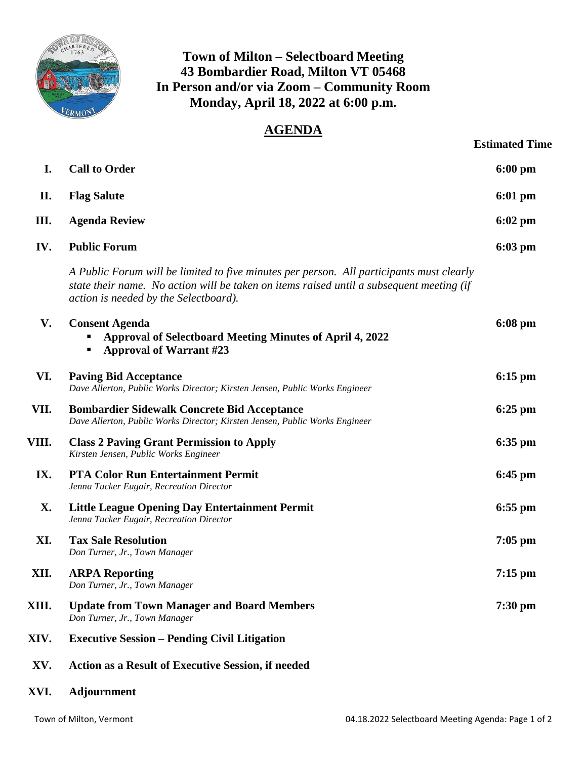

## **Town of Milton – Selectboard Meeting 43 Bombardier Road, Milton VT 05468 In Person and/or via Zoom – Community Room Monday, April 18, 2022 at 6:00 p.m.**

## **AGENDA**

|       |                                                                                                                                                                                                                               | <b>Estimated Time</b> |
|-------|-------------------------------------------------------------------------------------------------------------------------------------------------------------------------------------------------------------------------------|-----------------------|
| I.    | <b>Call to Order</b>                                                                                                                                                                                                          | $6:00$ pm             |
| П.    | <b>Flag Salute</b>                                                                                                                                                                                                            | $6:01$ pm             |
| III.  | <b>Agenda Review</b>                                                                                                                                                                                                          | $6:02 \text{ pm}$     |
| IV.   | <b>Public Forum</b>                                                                                                                                                                                                           | $6:03$ pm             |
|       | A Public Forum will be limited to five minutes per person. All participants must clearly<br>state their name. No action will be taken on items raised until a subsequent meeting (if<br>action is needed by the Selectboard). |                       |
| V.    | <b>Consent Agenda</b><br>Approval of Selectboard Meeting Minutes of April 4, 2022<br><b>Approval of Warrant #23</b><br>п                                                                                                      | $6:08$ pm             |
| VI.   | <b>Paving Bid Acceptance</b><br>Dave Allerton, Public Works Director; Kirsten Jensen, Public Works Engineer                                                                                                                   | $6:15$ pm             |
| VII.  | <b>Bombardier Sidewalk Concrete Bid Acceptance</b><br>Dave Allerton, Public Works Director; Kirsten Jensen, Public Works Engineer                                                                                             | $6:25$ pm             |
| VIII. | <b>Class 2 Paving Grant Permission to Apply</b><br>Kirsten Jensen, Public Works Engineer                                                                                                                                      | $6:35$ pm             |
| IX.   | <b>PTA Color Run Entertainment Permit</b><br>Jenna Tucker Eugair, Recreation Director                                                                                                                                         | $6:45$ pm             |
| X.    | <b>Little League Opening Day Entertainment Permit</b><br>Jenna Tucker Eugair, Recreation Director                                                                                                                             | $6:55$ pm             |
| XI.   | <b>Tax Sale Resolution</b><br>Don Turner, Jr., Town Manager                                                                                                                                                                   | $7:05$ pm             |
| XII.  | <b>ARPA Reporting</b><br>Don Turner, Jr., Town Manager                                                                                                                                                                        | $7:15$ pm             |
| XIII. | <b>Update from Town Manager and Board Members</b><br>Don Turner, Jr., Town Manager                                                                                                                                            | $7:30$ pm             |
| XIV.  | <b>Executive Session – Pending Civil Litigation</b>                                                                                                                                                                           |                       |
| XV.   | Action as a Result of Executive Session, if needed                                                                                                                                                                            |                       |
|       |                                                                                                                                                                                                                               |                       |

**XVI. Adjournment**